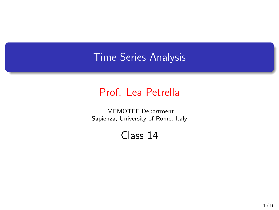## Time Series Analysis

## Prof. Lea Petrella

MEMOTEF Department Sapienza, University of Rome, Italy

Class 14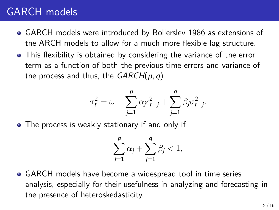## GARCH models

- GARCH models were introduced by Bollerslev 1986 as extensions of the ARCH models to allow for a much more flexible lag structure.
- This flexibility is obtained by considering the variance of the error term as a function of both the previous time errors and variance of the process and thus, the *GARCH*(*p, q*)

$$
\sigma_t^2 = \omega + \sum_{j=1}^p \alpha_j \epsilon_{t-j}^2 + \sum_{j=1}^q \beta_j \sigma_{t-j}^2.
$$

• The process is weakly stationary if and only if

$$
\sum_{j=1}^{\rho} \alpha_j + \sum_{j=1}^{q} \beta_j < 1,
$$

GARCH models have become a widespread tool in time series analysis, especially for their usefulness in analyzing and forecasting in the presence of heteroskedasticity.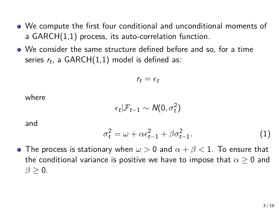- We compute the first four conditional and unconditional moments of a GARCH(1,1) process, its auto-correlation function.
- We consider the same structure defined before and so, for a time series *r<sup>t</sup>* , a GARCH(1,1) model is defined as:

$$
r_t=\epsilon_t
$$

where

$$
\epsilon_t|\mathcal{F}_{t-1}\sim \mathcal{N}(0,\sigma_t^2)
$$

and

$$
\sigma_t^2 = \omega + \alpha \epsilon_{t-1}^2 + \beta \sigma_{t-1}^2. \tag{1}
$$

The process is stationary when *ω >* 0 and *α* + *β <* 1. To ensure that the conditional variance is positive we have to impose that *α ≥* 0 and  $\beta \geq 0$ .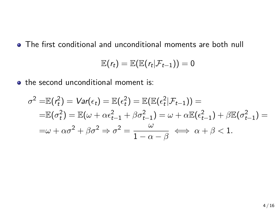The first conditional and unconditional moments are both null

$$
\mathbb{E}(r_t)=\mathbb{E}(\mathbb{E}(r_t|\mathcal{F}_{t-1}))=0
$$

• the second unconditional moment is:

$$
\sigma^2 = \mathbb{E}(\mathbf{r}_t^2) = \mathbf{Var}(\epsilon_t) = \mathbb{E}(\epsilon_t^2) = \mathbb{E}(\mathbb{E}(\epsilon_t^2|\mathcal{F}_{t-1})) =
$$
  
\n
$$
= \mathbb{E}(\sigma_t^2) = \mathbb{E}(\omega + \alpha \epsilon_{t-1}^2 + \beta \sigma_{t-1}^2) = \omega + \alpha \mathbb{E}(\epsilon_{t-1}^2) + \beta \mathbb{E}(\sigma_{t-1}^2) =
$$
  
\n
$$
= \omega + \alpha \sigma^2 + \beta \sigma^2 \Rightarrow \sigma^2 = \frac{\omega}{1 - \alpha - \beta} \iff \alpha + \beta < 1.
$$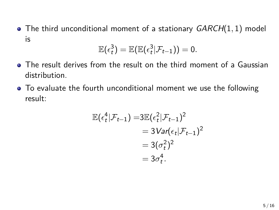The third unconditional moment of a stationary *GARCH*(1*,* 1) model is

$$
\mathbb{E}(\epsilon_t^3) = \mathbb{E}(\mathbb{E}(\epsilon_t^3|\mathcal{F}_{t-1})) = 0.
$$

- The result derives from the result on the third moment of a Gaussian distribution.
- To evaluate the fourth unconditional moment we use the following result:

$$
\mathbb{E}(\epsilon_t^4|\mathcal{F}_{t-1}) = 3\mathbb{E}(\epsilon_t^2|\mathcal{F}_{t-1})^2
$$
  
=  $3\text{Var}(\epsilon_t|\mathcal{F}_{t-1})^2$   
=  $3(\sigma_t^2)^2$   
=  $3\sigma_t^4$ .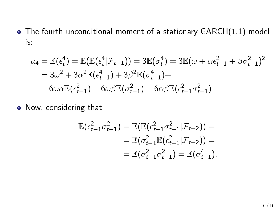The fourth unconditional moment of a stationary GARCH(1,1) model is:

$$
\mu_4 = \mathbb{E}(\epsilon_t^4) = \mathbb{E}(\mathbb{E}(\epsilon_t^4 | \mathcal{F}_{t-1})) = 3\mathbb{E}(\sigma_t^4) = 3\mathbb{E}(\omega + \alpha \epsilon_{t-1}^2 + \beta \sigma_{t-1}^2)^2
$$
  
=  $3\omega^2 + 3\alpha^2 \mathbb{E}(\epsilon_{t-1}^4) + 3\beta^2 \mathbb{E}(\sigma_{t-1}^4) +$   
+  $6\omega \alpha \mathbb{E}(\epsilon_{t-1}^2) + 6\omega \beta \mathbb{E}(\sigma_{t-1}^2) + 6\alpha \beta \mathbb{E}(\epsilon_{t-1}^2 \sigma_{t-1}^2)$ 

Now, considering that

$$
\mathbb{E}(\epsilon_{t-1}^2 \sigma_{t-1}^2) = \mathbb{E}(\mathbb{E}(\epsilon_{t-1}^2 \sigma_{t-1}^2 | \mathcal{F}_{t-2})) =
$$
  
=  $\mathbb{E}(\sigma_{t-1}^2 \mathbb{E}(\epsilon_{t-1}^2 | \mathcal{F}_{t-2})) =$   
=  $\mathbb{E}(\sigma_{t-1}^2 \sigma_{t-1}^2) = \mathbb{E}(\sigma_{t-1}^4).$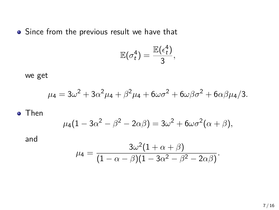• Since from the previous result we have that

$$
\mathbb{E}(\sigma_t^4) = \frac{\mathbb{E}(\epsilon_t^4)}{3},
$$

we get

$$
\mu_4 = 3\omega^2 + 3\alpha^2 \mu_4 + \beta^2 \mu_4 + 6\omega \sigma^2 + 6\omega \beta \sigma^2 + 6\alpha \beta \mu_4 / 3.
$$

o Then

$$
\mu_4(1-3\alpha^2-\beta^2-2\alpha\beta)=3\omega^2+6\omega\sigma^2(\alpha+\beta),
$$

and

$$
\mu_4=\frac{3\omega^2(1+\alpha+\beta)}{(1-\alpha-\beta)(1-3\alpha^2-\beta^2-2\alpha\beta)}.
$$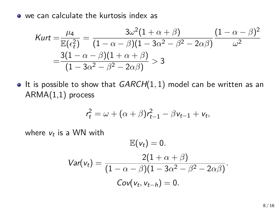we can calculate the kurtosis index as

$$
\text{Kurt} = \frac{\mu_4}{\mathbb{E}(\epsilon_t^2)} = \frac{3\omega^2(1+\alpha+\beta)}{(1-\alpha-\beta)(1-3\alpha^2-\beta^2-2\alpha\beta)}\frac{(1-\alpha-\beta)^2}{\omega^2}
$$
\n
$$
= \frac{3(1-\alpha-\beta)(1+\alpha+\beta)}{(1-3\alpha^2-\beta^2-2\alpha\beta)} > 3
$$

• It is possible to show that *GARCH*(1, 1) model can be written as an ARMA(1,1) process

$$
r_t^2 = \omega + (\alpha + \beta) r_{t-1}^2 - \beta v_{t-1} + v_t,
$$

where  $v_t$  is a WN with

$$
\mathbb{E}(v_t) = 0.
$$
  
\n
$$
Var(v_t) = \frac{2(1 + \alpha + \beta)}{(1 - \alpha - \beta)(1 - 3\alpha^2 - \beta^2 - 2\alpha\beta)}.
$$
  
\n
$$
Cov(v_t, v_{t-h}) = 0.
$$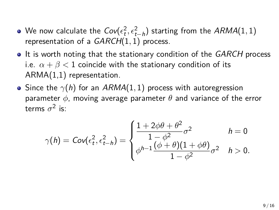- We now calculate the  $\mathsf{Cov}(\epsilon^2_t, \epsilon^2_{t-h})$  starting from the  $ARMA(1,1)$ *the now calculate the*  $Cov(e_t, e_{t-h})$  *starth*<br>*tepresentation of a <i>GARCH*(1, 1) process.
- It is worth noting that the stationary condition of the *GARCH* process i.e.  $\alpha + \beta < 1$  coincide with the stationary condition of its ARMA(1,1) representation.
- Since the  $\gamma(h)$  for an  $ARMA(1, 1)$  process with autoregression parameter *ϕ*, moving average parameter *θ* and variance of the error terms  $\sigma^2$  is:

$$
\gamma(h) = Cov(\epsilon_t^2, \epsilon_{t-h}^2) = \begin{cases} \frac{1 + 2\phi\theta + \theta^2}{1 - \phi^2} \sigma^2 & h = 0\\ \phi^{h-1} \frac{(\phi + \theta)(1 + \phi\theta)}{1 - \phi^2} \sigma^2 & h > 0. \end{cases}
$$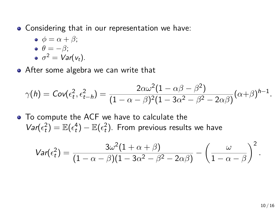- Considering that in our representation we have:
	- $\phi = \alpha + \beta$ ;  $\theta = -\beta$ ;  $\sigma^2 = \text{Var}(v_t).$
- After some algebra we can write that

$$
\gamma(h)=\text{Cov}(\epsilon_t^2,\epsilon_{t-h}^2)=\frac{2\alpha\omega^2(1-\alpha\beta-\beta^2)}{(1-\alpha-\beta)^2(1-3\alpha^2-\beta^2-2\alpha\beta)}(\alpha+\beta)^{h-1}.
$$

• To compute the ACF we have to calculate the  $Var(\epsilon_t^2) = \mathbb{E}(\epsilon_t^4) - \mathbb{E}(\epsilon_t^2)$ . From previous results we have

$$
Var(\epsilon_t^2) = \frac{3\omega^2(1+\alpha+\beta)}{(1-\alpha-\beta)(1-3\alpha^2-\beta^2-2\alpha\beta)} - \left(\frac{\omega}{1-\alpha-\beta}\right)^2
$$

*.*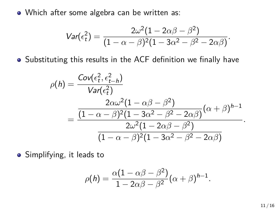• Which after some algebra can be written as:

$$
Var(\epsilon_t^2) = \frac{2\omega^2(1-2\alpha\beta-\beta^2)}{(1-\alpha-\beta)^2(1-3\alpha^2-\beta^2-2\alpha\beta)}.
$$

Substituting this results in the ACF definition we finally have

$$
\rho(h) = \frac{Cov(\epsilon_t^2, \epsilon_{t-h}^2)}{Var(\epsilon_t^2)}
$$
  
= 
$$
\frac{\frac{2\alpha\omega^2(1-\alpha\beta-\beta^2)}{(1-\alpha-\beta)^2(1-3\alpha^2-\beta^2-2\alpha\beta)}(\alpha+\beta)^{h-1}}{\frac{2\omega^2(1-2\alpha\beta-\beta^2)}{(1-\alpha-\beta)^2(1-3\alpha^2-\beta^2-2\alpha\beta)}}.
$$

• Simplifying, it leads to

$$
\rho(h) = \frac{\alpha(1 - \alpha\beta - \beta^2)}{1 - 2\alpha\beta - \beta^2} (\alpha + \beta)^{h-1}.
$$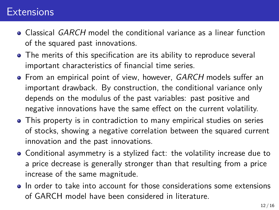## **Extensions**

- Classical *GARCH* model the conditional variance as a linear function of the squared past innovations.
- The merits of this specification are its ability to reproduce several important characteristics of financial time series.
- From an empirical point of view, however, *GARCH* models suffer an important drawback. By construction, the conditional variance only depends on the modulus of the past variables: past positive and negative innovations have the same effect on the current volatility.
- This property is in contradiction to many empirical studies on series of stocks, showing a negative correlation between the squared current innovation and the past innovations.
- Conditional asymmetry is a stylized fact: the volatility increase due to a price decrease is generally stronger than that resulting from a price increase of the same magnitude.
- In order to take into account for those considerations some extensions of GARCH model have been considered in literature.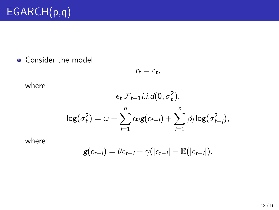• Consider the model

$$
r_t = \epsilon_t,
$$

where

$$
\epsilon_t | \mathcal{F}_{t-1} i.i.d(0, \sigma_t^2),
$$

$$
\log(\sigma_t^2) = \omega + \sum_{i=1}^n \alpha_i g(\epsilon_{t-i}) + \sum_{i=1}^n \beta_j \log(\sigma_{t-j}^2),
$$

where

$$
g(\epsilon_{t-i}) = \theta \epsilon_{t-i} + \gamma(|\epsilon_{t-i}| - \mathbb{E}(|\epsilon_{t-i}|).
$$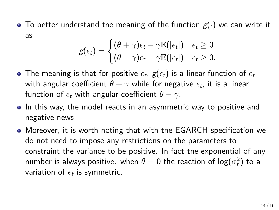$\bullet$  To better understand the meaning of the function  $g(\cdot)$  we can write it as

$$
g(\epsilon_t) = \begin{cases} (\theta + \gamma)\epsilon_t - \gamma \mathbb{E}(|\epsilon_t|) & \epsilon_t \geq 0 \\ (\theta - \gamma)\epsilon_t - \gamma \mathbb{E}(|\epsilon_t|) & \epsilon_t \geq 0. \end{cases}
$$

- The meaning is that for positive  $\epsilon_t$ ,  $\boldsymbol{\mathit{g}}(\epsilon_t)$  is a linear function of  $\epsilon_t$ with angular coefficient  $\theta + \gamma$  while for negative  $\epsilon_t$ , it is a linear function of  $\epsilon_t$  with angular coefficient  $\theta - \gamma$ .
- In this way, the model reacts in an asymmetric way to positive and negative news.
- Moreover, it is worth noting that with the EGARCH specification we do not need to impose any restrictions on the parameters to constraint the variance to be positive. In fact the exponential of any  ${\mathsf n}$ umber is always positive. when  $\theta = {\mathsf 0}$  the reaction of log $(\sigma_t^2)$  to a variation of  $\epsilon_t$  is symmetric.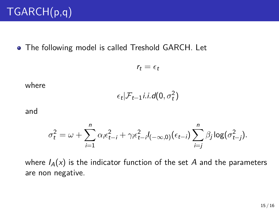• The following model is called Treshold GARCH. Let

$$
r_t = \epsilon_t
$$

where

$$
\epsilon_t | \mathcal{F}_{t-1} i.i.d(0,\sigma_t^2)
$$

and

$$
\sigma_t^2 = \omega + \sum_{i=1}^n \alpha_i \epsilon_{t-i}^2 + \gamma_i \epsilon_{t-i}^2 I_{(-\infty,0)}(\epsilon_{t-i}) \sum_{i=j}^n \beta_j \log(\sigma_{t-j}^2).
$$

where  $I_A(x)$  is the indicator function of the set A and the parameters are non negative.